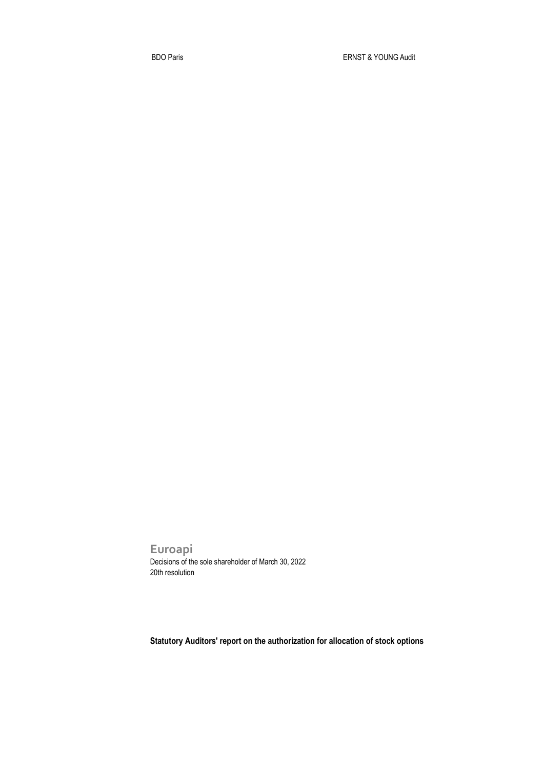**Euroapi** Decisions of the sole shareholder of March 30, 2022 20th resolution

**Statutory Auditors' report on the authorization for allocation of stock options**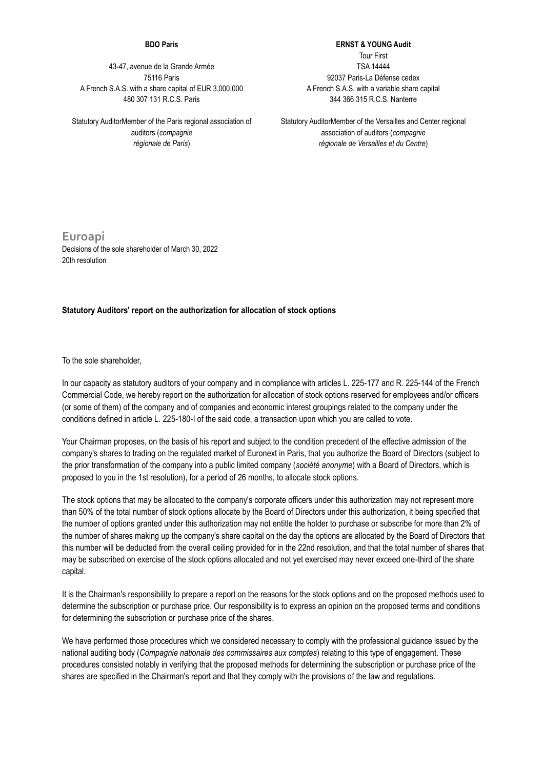## **BDO Paris**

43-47, avenue de la Grande Armée 75116 Paris A French S.A.S. with a share capital of EUR 3,000,000 480 307 131 R.C.S. Paris

Statutory AuditorMember of the Paris regional association of auditors (*compagnie régionale de Paris*)

**ERNST & YOUNG Audit** Tour First TSA 14444 92037 Paris-La Défense cedex

A French S.A.S. with a variable share capital 344 366 315 R.C.S. Nanterre

Statutory AuditorMember of the Versailles and Center regional association of auditors (*compagnie régionale de Versailles et du Centre*)

**Euroapi** Decisions of the sole shareholder of March 30, 2022 20th resolution

## **Statutory Auditors' report on the authorization for allocation of stock options**

To the sole shareholder,

In our capacity as statutory auditors of your company and in compliance with articles L. 225-177 and R. 225-144 of the French Commercial Code, we hereby report on the authorization for allocation of stock options reserved for employees and/or officers (or some of them) of the company and of companies and economic interest groupings related to the company under the conditions defined in article L. 225-180-I of the said code, a transaction upon which you are called to vote.

Your Chairman proposes, on the basis of his report and subject to the condition precedent of the effective admission of the company's shares to trading on the regulated market of Euronext in Paris, that you authorize the Board of Directors (subject to the prior transformation of the company into a public limited company (*société anonyme*) with a Board of Directors, which is proposed to you in the 1st resolution), for a period of 26 months, to allocate stock options.

The stock options that may be allocated to the company's corporate officers under this authorization may not represent more than 50% of the total number of stock options allocate by the Board of Directors under this authorization, it being specified that the number of options granted under this authorization may not entitle the holder to purchase or subscribe for more than 2% of the number of shares making up the company's share capital on the day the options are allocated by the Board of Directors that this number will be deducted from the overall ceiling provided for in the 22nd resolution, and that the total number of shares that may be subscribed on exercise of the stock options allocated and not yet exercised may never exceed one-third of the share capital.

It is the Chairman's responsibility to prepare a report on the reasons for the stock options and on the proposed methods used to determine the subscription or purchase price. Our responsibility is to express an opinion on the proposed terms and conditions for determining the subscription or purchase price of the shares.

We have performed those procedures which we considered necessary to comply with the professional quidance issued by the national auditing body (*Compagnie nationale des commissaires aux comptes*) relating to this type of engagement. These procedures consisted notably in verifying that the proposed methods for determining the subscription or purchase price of the shares are specified in the Chairman's report and that they comply with the provisions of the law and regulations.